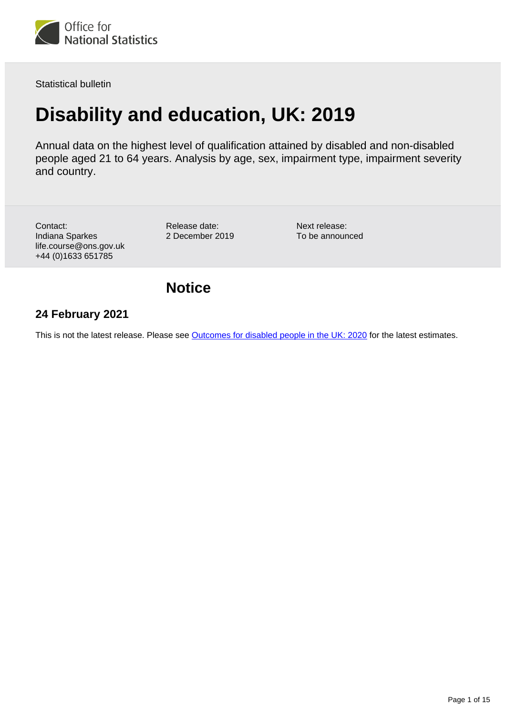

Statistical bulletin

# **Disability and education, UK: 2019**

Annual data on the highest level of qualification attained by disabled and non-disabled people aged 21 to 64 years. Analysis by age, sex, impairment type, impairment severity and country.

Contact: Indiana Sparkes life.course@ons.gov.uk +44 (0)1633 651785

Release date: 2 December 2019 Next release: To be announced

**Notice**

## **24 February 2021**

This is not the latest release. Please see [Outcomes for disabled people in the UK: 2020](https://www.ons.gov.uk/peoplepopulationandcommunity/healthandsocialcare/disability/articles/outcomesfordisabledpeopleintheuk/2020) for the latest estimates.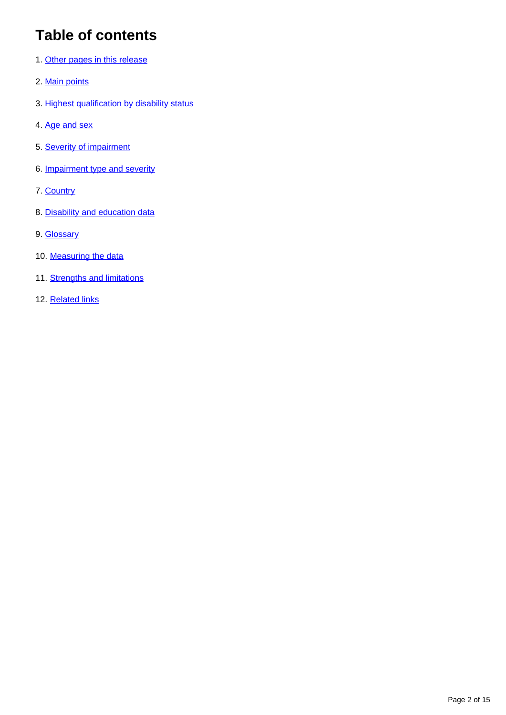# **Table of contents**

- 1. [Other pages in this release](#page-2-0)
- 2. [Main points](#page-2-1)
- 3. [Highest qualification by disability status](#page-3-0)
- 4. [Age and sex](#page-4-0)
- 5. [Severity of impairment](#page-6-0)
- 6. [Impairment type and severity](#page-7-0)
- 7. [Country](#page-10-0)
- 8. [Disability and education data](#page-11-0)
- 9. [Glossary](#page-11-1)
- 10. [Measuring the data](#page-12-0)
- 11. [Strengths and limitations](#page-12-1)
- 12. [Related links](#page-14-0)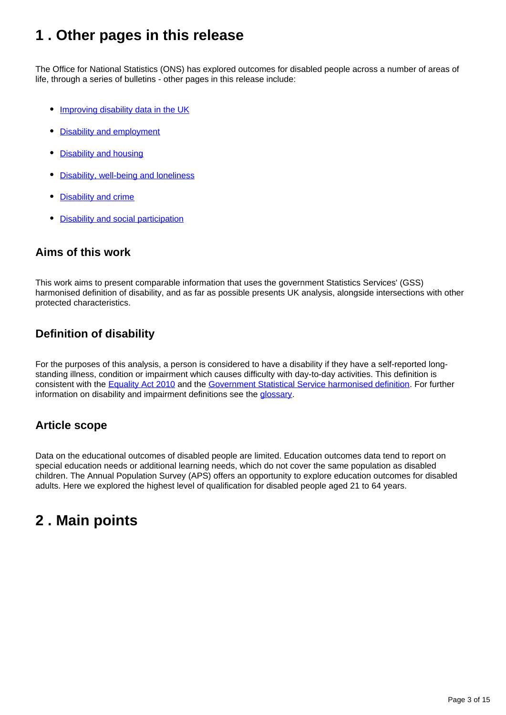# <span id="page-2-0"></span>**1 . Other pages in this release**

The Office for National Statistics (ONS) has explored outcomes for disabled people across a number of areas of life, through a series of bulletins - other pages in this release include:

- [Improving disability data in the UK](https://www.ons.gov.uk/peoplepopulationandcommunity/healthandsocialcare/disability/articles/improvingdisabilitydataintheuk/2019)
- [Disability and employment](https://www.ons.gov.uk/peoplepopulationandcommunity/healthandsocialcare/disability/bulletins/disabilityandemploymentuk/2019)
- [Disability and housing](https://www.ons.gov.uk/peoplepopulationandcommunity/healthandsocialcare/disability/bulletins/disabilityandhousinguk/2019)
- [Disability, well-being and loneliness](https://www.ons.gov.uk/peoplepopulationandcommunity/healthandsocialcare/disability/bulletins/disabilitywellbeingandlonelinessuk/2019)
- **[Disability and crime](https://www.ons.gov.uk/peoplepopulationandcommunity/healthandsocialcare/disability/bulletins/disabilityandcrimeuk/2019)**
- [Disability and social participation](https://www.ons.gov.uk/peoplepopulationandcommunity/healthandsocialcare/disability/bulletins/disabilityandsocialparticipationengland/2018)

## **Aims of this work**

This work aims to present comparable information that uses the government Statistics Services' (GSS) harmonised definition of disability, and as far as possible presents UK analysis, alongside intersections with other protected characteristics.

## **Definition of disability**

For the purposes of this analysis, a person is considered to have a disability if they have a self-reported longstanding illness, condition or impairment which causes difficulty with day-to-day activities. This definition is consistent with the [Equality Act 2010](http://www.legislation.gov.uk/ukpga/2010/15/section/6) and the [Government Statistical Service harmonised definition](https://gss.civilservice.gov.uk/policy-store/measuring-disability-for-the-equality-act-2010/). For further information on disability and impairment definitions see the [glossary.](https://www.ons.gov.uk/peoplepopulationandcommunity/healthandsocialcare/disability/bulletins/disabilityandeducationuk/2019#glossary)

## **Article scope**

Data on the educational outcomes of disabled people are limited. Education outcomes data tend to report on special education needs or additional learning needs, which do not cover the same population as disabled children. The Annual Population Survey (APS) offers an opportunity to explore education outcomes for disabled adults. Here we explored the highest level of qualification for disabled people aged 21 to 64 years.

# <span id="page-2-1"></span>**2 . Main points**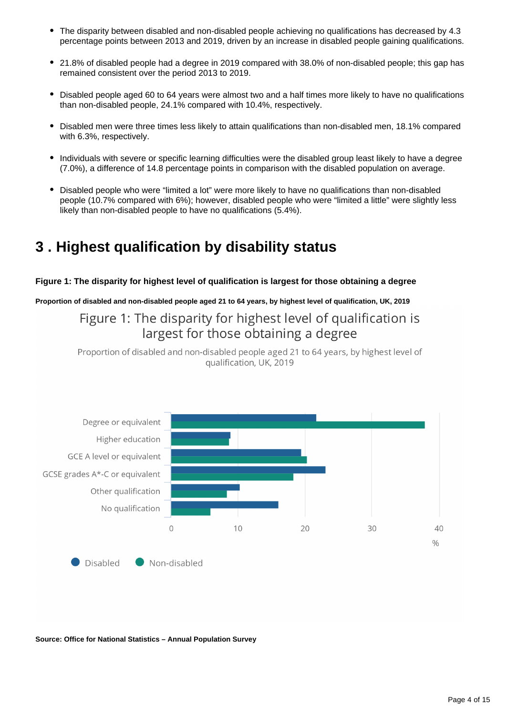- The disparity between disabled and non-disabled people achieving no qualifications has decreased by 4.3 percentage points between 2013 and 2019, driven by an increase in disabled people gaining qualifications.
- 21.8% of disabled people had a degree in 2019 compared with 38.0% of non-disabled people; this gap has remained consistent over the period 2013 to 2019.
- Disabled people aged 60 to 64 years were almost two and a half times more likely to have no qualifications than non-disabled people, 24.1% compared with 10.4%, respectively.
- Disabled men were three times less likely to attain qualifications than non-disabled men, 18.1% compared with 6.3%, respectively.
- Individuals with severe or specific learning difficulties were the disabled group least likely to have a degree (7.0%), a difference of 14.8 percentage points in comparison with the disabled population on average.
- Disabled people who were "limited a lot" were more likely to have no qualifications than non-disabled people (10.7% compared with 6%); however, disabled people who were "limited a little" were slightly less likely than non-disabled people to have no qualifications (5.4%).

# <span id="page-3-0"></span>**3 . Highest qualification by disability status**

#### **Figure 1: The disparity for highest level of qualification is largest for those obtaining a degree**

**Proportion of disabled and non-disabled people aged 21 to 64 years, by highest level of qualification, UK, 2019**

Figure 1: The disparity for highest level of qualification is largest for those obtaining a degree

Proportion of disabled and non-disabled people aged 21 to 64 years, by highest level of qualification, UK, 2019



**Source: Office for National Statistics – Annual Population Survey**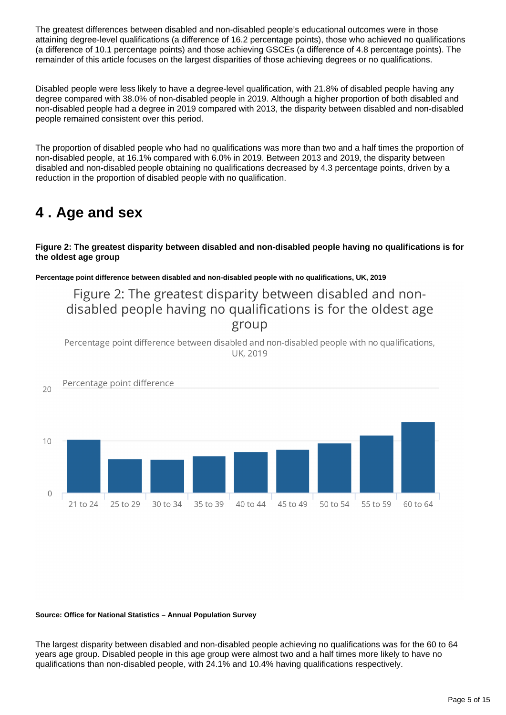The greatest differences between disabled and non-disabled people's educational outcomes were in those attaining degree-level qualifications (a difference of 16.2 percentage points), those who achieved no qualifications (a difference of 10.1 percentage points) and those achieving GSCEs (a difference of 4.8 percentage points). The remainder of this article focuses on the largest disparities of those achieving degrees or no qualifications.

Disabled people were less likely to have a degree-level qualification, with 21.8% of disabled people having any degree compared with 38.0% of non-disabled people in 2019. Although a higher proportion of both disabled and non-disabled people had a degree in 2019 compared with 2013, the disparity between disabled and non-disabled people remained consistent over this period.

The proportion of disabled people who had no qualifications was more than two and a half times the proportion of non-disabled people, at 16.1% compared with 6.0% in 2019. Between 2013 and 2019, the disparity between disabled and non-disabled people obtaining no qualifications decreased by 4.3 percentage points, driven by a reduction in the proportion of disabled people with no qualification.

# <span id="page-4-0"></span>**4 . Age and sex**

**Figure 2: The greatest disparity between disabled and non-disabled people having no qualifications is for the oldest age group**

**Percentage point difference between disabled and non-disabled people with no qualifications, UK, 2019**

Figure 2: The greatest disparity between disabled and nondisabled people having no qualifications is for the oldest age group

Percentage point difference between disabled and non-disabled people with no qualifications, **UK, 2019** 



**Source: Office for National Statistics – Annual Population Survey**

The largest disparity between disabled and non-disabled people achieving no qualifications was for the 60 to 64 years age group. Disabled people in this age group were almost two and a half times more likely to have no qualifications than non-disabled people, with 24.1% and 10.4% having qualifications respectively.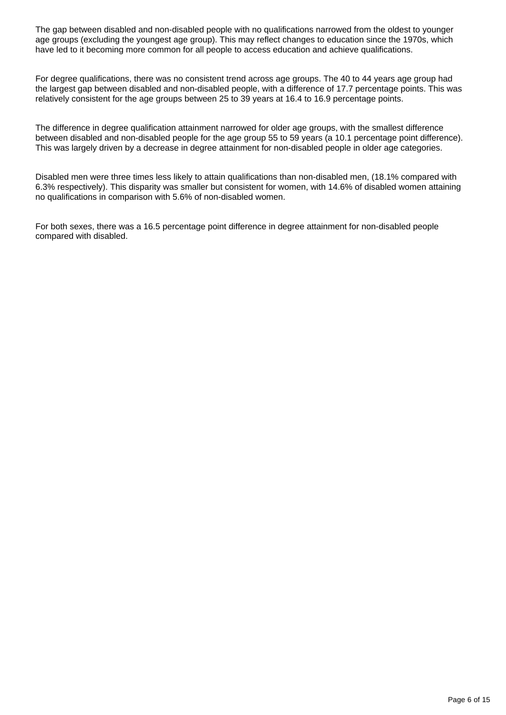The gap between disabled and non-disabled people with no qualifications narrowed from the oldest to younger age groups (excluding the youngest age group). This may reflect changes to education since the 1970s, which have led to it becoming more common for all people to access education and achieve qualifications.

For degree qualifications, there was no consistent trend across age groups. The 40 to 44 years age group had the largest gap between disabled and non-disabled people, with a difference of 17.7 percentage points. This was relatively consistent for the age groups between 25 to 39 years at 16.4 to 16.9 percentage points.

The difference in degree qualification attainment narrowed for older age groups, with the smallest difference between disabled and non-disabled people for the age group 55 to 59 years (a 10.1 percentage point difference). This was largely driven by a decrease in degree attainment for non-disabled people in older age categories.

Disabled men were three times less likely to attain qualifications than non-disabled men, (18.1% compared with 6.3% respectively). This disparity was smaller but consistent for women, with 14.6% of disabled women attaining no qualifications in comparison with 5.6% of non-disabled women.

For both sexes, there was a 16.5 percentage point difference in degree attainment for non-disabled people compared with disabled.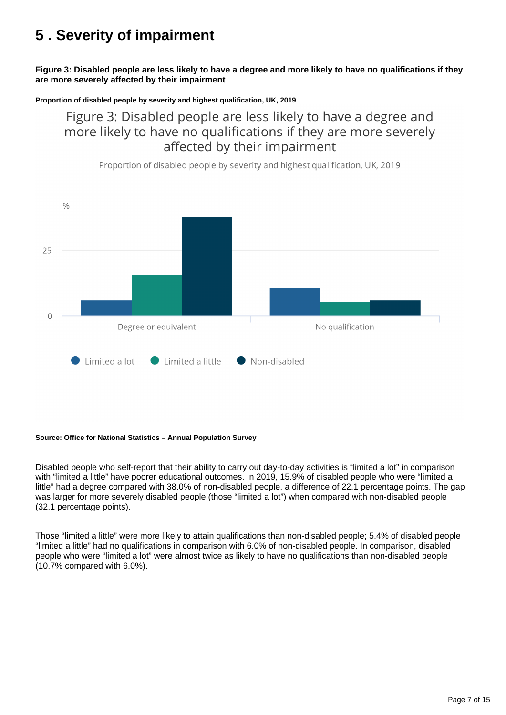# <span id="page-6-0"></span>**5 . Severity of impairment**

**Figure 3: Disabled people are less likely to have a degree and more likely to have no qualifications if they are more severely affected by their impairment**

#### **Proportion of disabled people by severity and highest qualification, UK, 2019**

Figure 3: Disabled people are less likely to have a degree and more likely to have no qualifications if they are more severely affected by their impairment



Proportion of disabled people by severity and highest qualification, UK, 2019

#### **Source: Office for National Statistics – Annual Population Survey**

Disabled people who self-report that their ability to carry out day-to-day activities is "limited a lot" in comparison with "limited a little" have poorer educational outcomes. In 2019, 15.9% of disabled people who were "limited a little" had a degree compared with 38.0% of non-disabled people, a difference of 22.1 percentage points. The gap was larger for more severely disabled people (those "limited a lot") when compared with non-disabled people (32.1 percentage points).

Those "limited a little" were more likely to attain qualifications than non-disabled people; 5.4% of disabled people "limited a little" had no qualifications in comparison with 6.0% of non-disabled people. In comparison, disabled people who were "limited a lot" were almost twice as likely to have no qualifications than non-disabled people (10.7% compared with 6.0%).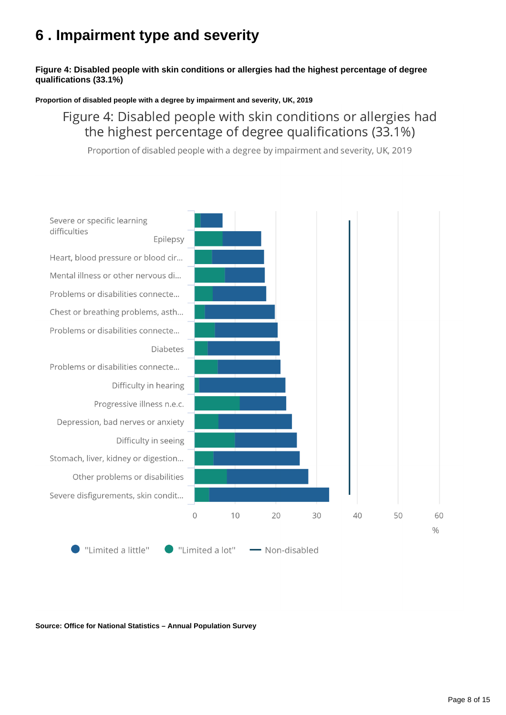# <span id="page-7-0"></span>**6 . Impairment type and severity**

#### **Figure 4: Disabled people with skin conditions or allergies had the highest percentage of degree qualifications (33.1%)**

**Proportion of disabled people with a degree by impairment and severity, UK, 2019**

# Figure 4: Disabled people with skin conditions or allergies had the highest percentage of degree qualifications (33.1%)

Proportion of disabled people with a degree by impairment and severity, UK, 2019



**Source: Office for National Statistics – Annual Population Survey**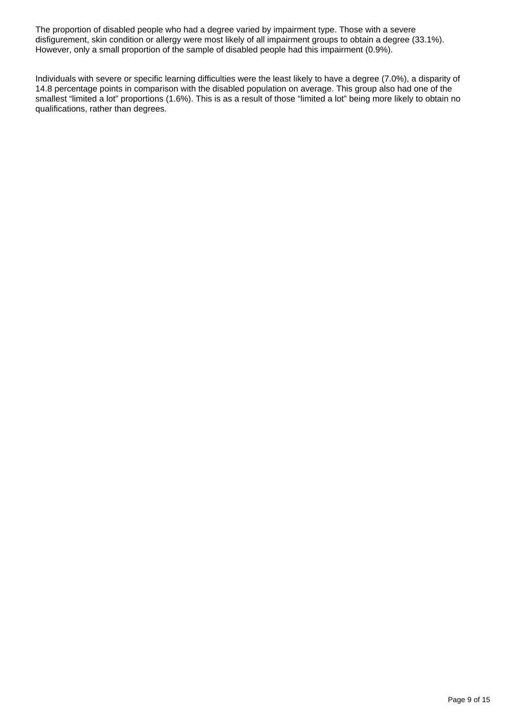The proportion of disabled people who had a degree varied by impairment type. Those with a severe disfigurement, skin condition or allergy were most likely of all impairment groups to obtain a degree (33.1%). However, only a small proportion of the sample of disabled people had this impairment (0.9%).

Individuals with severe or specific learning difficulties were the least likely to have a degree (7.0%), a disparity of 14.8 percentage points in comparison with the disabled population on average. This group also had one of the smallest "limited a lot" proportions (1.6%). This is as a result of those "limited a lot" being more likely to obtain no qualifications, rather than degrees.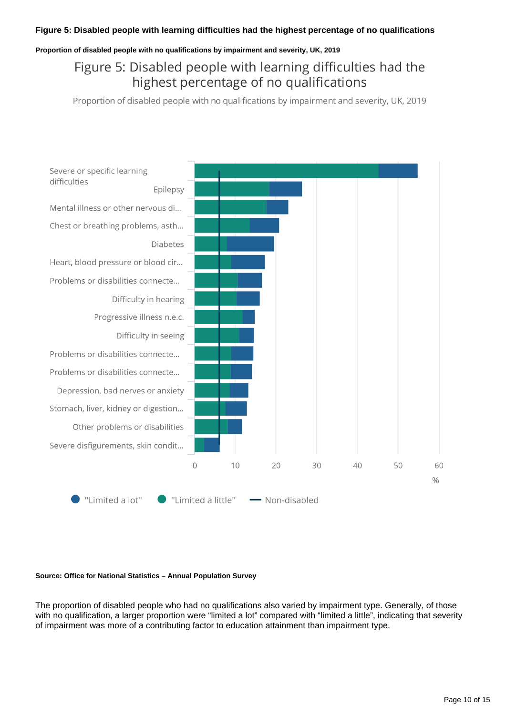#### **Proportion of disabled people with no qualifications by impairment and severity, UK, 2019**

# Figure 5: Disabled people with learning difficulties had the highest percentage of no qualifications

Proportion of disabled people with no qualifications by impairment and severity, UK, 2019



#### **Source: Office for National Statistics – Annual Population Survey**

The proportion of disabled people who had no qualifications also varied by impairment type. Generally, of those with no qualification, a larger proportion were "limited a lot" compared with "limited a little", indicating that severity of impairment was more of a contributing factor to education attainment than impairment type.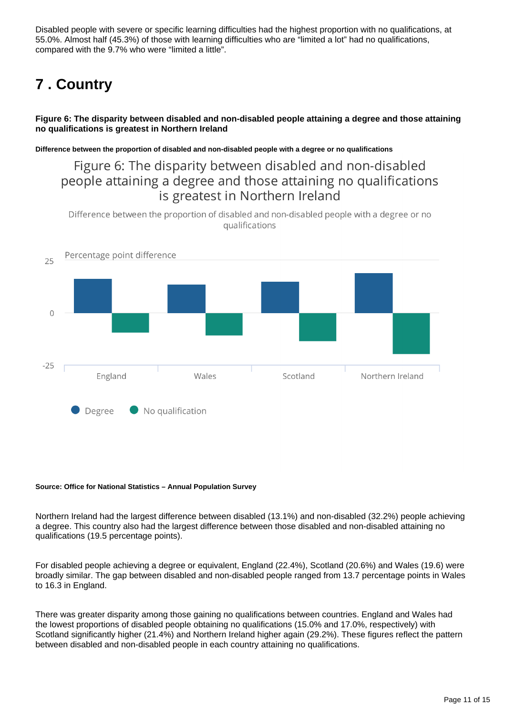Disabled people with severe or specific learning difficulties had the highest proportion with no qualifications, at 55.0%. Almost half (45.3%) of those with learning difficulties who are "limited a lot" had no qualifications, compared with the 9.7% who were "limited a little".

# <span id="page-10-0"></span>**7 . Country**

**Figure 6: The disparity between disabled and non-disabled people attaining a degree and those attaining no qualifications is greatest in Northern Ireland**

**Difference between the proportion of disabled and non-disabled people with a degree or no qualifications**

## Figure 6: The disparity between disabled and non-disabled people attaining a degree and those attaining no qualifications is greatest in Northern Ireland

Difference between the proportion of disabled and non-disabled people with a degree or no qualifications



#### **Source: Office for National Statistics – Annual Population Survey**

Northern Ireland had the largest difference between disabled (13.1%) and non-disabled (32.2%) people achieving a degree. This country also had the largest difference between those disabled and non-disabled attaining no qualifications (19.5 percentage points).

For disabled people achieving a degree or equivalent, England (22.4%), Scotland (20.6%) and Wales (19.6) were broadly similar. The gap between disabled and non-disabled people ranged from 13.7 percentage points in Wales to 16.3 in England.

There was greater disparity among those gaining no qualifications between countries. England and Wales had the lowest proportions of disabled people obtaining no qualifications (15.0% and 17.0%, respectively) with Scotland significantly higher (21.4%) and Northern Ireland higher again (29.2%). These figures reflect the pattern between disabled and non-disabled people in each country attaining no qualifications.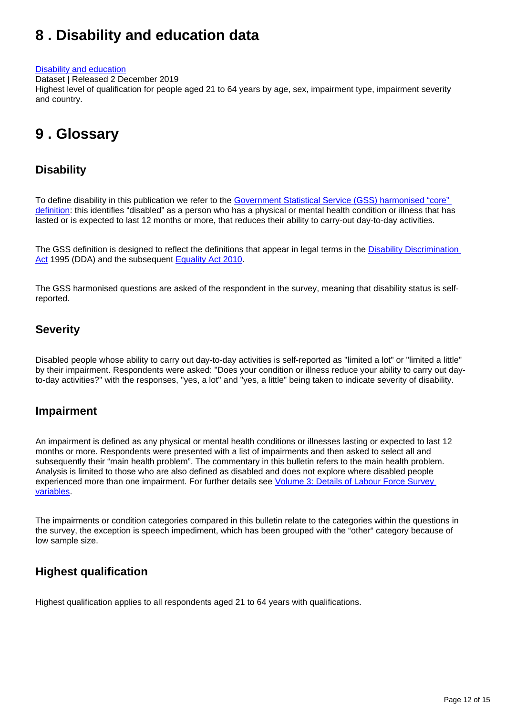# <span id="page-11-0"></span>**8 . Disability and education data**

#### [Disability and education](https://www.ons.gov.uk/peoplepopulationandcommunity/healthandsocialcare/disability/datasets/disabilityandeducation)

Dataset | Released 2 December 2019

Highest level of qualification for people aged 21 to 64 years by age, sex, impairment type, impairment severity and country.

# <span id="page-11-1"></span>**9 . Glossary**

## **Disability**

To define disability in this publication we refer to the [Government Statistical Service \(GSS\) harmonised "core"](https://gss.civilservice.gov.uk/policy-store/measuring-disability-for-the-equality-act-2010/)  [definition](https://gss.civilservice.gov.uk/policy-store/measuring-disability-for-the-equality-act-2010/): this identifies "disabled" as a person who has a physical or mental health condition or illness that has lasted or is expected to last 12 months or more, that reduces their ability to carry-out day-to-day activities.

The GSS definition is designed to reflect the definitions that appear in legal terms in the Disability Discrimination [Act](http://www.legislation.gov.uk/ukpga/1995/50/contents) 1995 (DDA) and the subsequent [Equality Act 2010](http://www.legislation.gov.uk/ukpga/2010/15/section/6).

The GSS harmonised questions are asked of the respondent in the survey, meaning that disability status is selfreported.

## **Severity**

Disabled people whose ability to carry out day-to-day activities is self-reported as "limited a lot" or "limited a little" by their impairment. Respondents were asked: "Does your condition or illness reduce your ability to carry out dayto-day activities?" with the responses, "yes, a lot" and "yes, a little" being taken to indicate severity of disability.

## **Impairment**

An impairment is defined as any physical or mental health conditions or illnesses lasting or expected to last 12 months or more. Respondents were presented with a list of impairments and then asked to select all and subsequently their "main health problem". The commentary in this bulletin refers to the main health problem. Analysis is limited to those who are also defined as disabled and does not explore where disabled people experienced more than one impairment. For further details see *Volume 3: Details of Labour Force Survey* [variables](https://www.ons.gov.uk/employmentandlabourmarket/peopleinwork/employmentandemployeetypes/methodologies/labourforcesurveyuserguidance).

The impairments or condition categories compared in this bulletin relate to the categories within the questions in the survey, the exception is speech impediment, which has been grouped with the "other" category because of low sample size.

## **Highest qualification**

Highest qualification applies to all respondents aged 21 to 64 years with qualifications.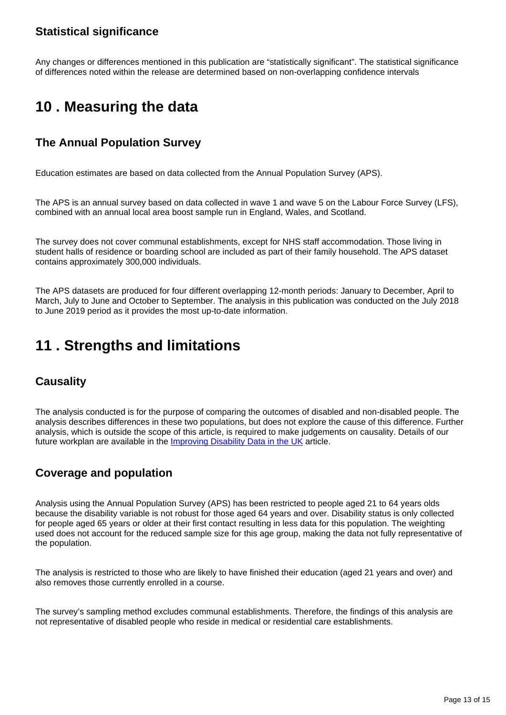## **Statistical significance**

Any changes or differences mentioned in this publication are "statistically significant". The statistical significance of differences noted within the release are determined based on non-overlapping confidence intervals

# <span id="page-12-0"></span>**10 . Measuring the data**

## **The Annual Population Survey**

Education estimates are based on data collected from the Annual Population Survey (APS).

The APS is an annual survey based on data collected in wave 1 and wave 5 on the Labour Force Survey (LFS), combined with an annual local area boost sample run in England, Wales, and Scotland.

The survey does not cover communal establishments, except for NHS staff accommodation. Those living in student halls of residence or boarding school are included as part of their family household. The APS dataset contains approximately 300,000 individuals.

The APS datasets are produced for four different overlapping 12-month periods: January to December, April to March, July to June and October to September. The analysis in this publication was conducted on the July 2018 to June 2019 period as it provides the most up-to-date information.

# <span id="page-12-1"></span>**11 . Strengths and limitations**

## **Causality**

The analysis conducted is for the purpose of comparing the outcomes of disabled and non-disabled people. The analysis describes differences in these two populations, but does not explore the cause of this difference. Further analysis, which is outside the scope of this article, is required to make judgements on causality. Details of our future workplan are available in the *Improving Disability Data in the UK* article.

## **Coverage and population**

Analysis using the Annual Population Survey (APS) has been restricted to people aged 21 to 64 years olds because the disability variable is not robust for those aged 64 years and over. Disability status is only collected for people aged 65 years or older at their first contact resulting in less data for this population. The weighting used does not account for the reduced sample size for this age group, making the data not fully representative of the population.

The analysis is restricted to those who are likely to have finished their education (aged 21 years and over) and also removes those currently enrolled in a course.

The survey's sampling method excludes communal establishments. Therefore, the findings of this analysis are not representative of disabled people who reside in medical or residential care establishments.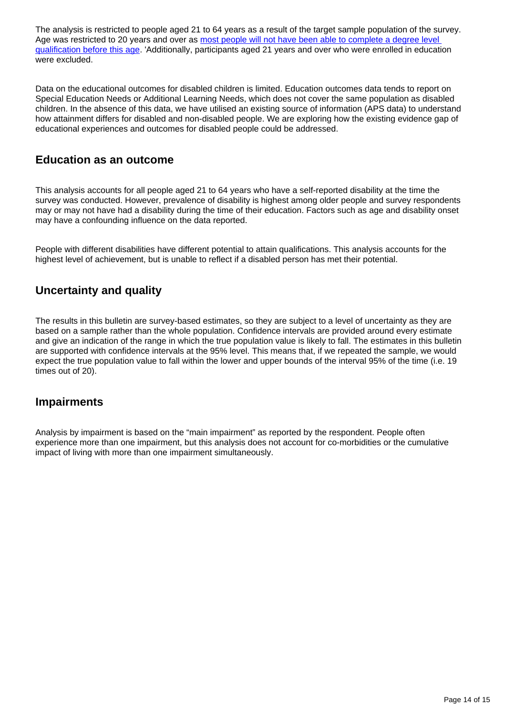The analysis is restricted to people aged 21 to 64 years as a result of the target sample population of the survey. Age was restricted to 20 years and over as most people will not have been able to complete a degree level [qualification before this age.](https://www.ons.gov.uk/employmentandlabourmarket/peopleinwork/employmentandemployeetypes/articles/graduatesintheuklabourmarket/2017) 'Additionally, participants aged 21 years and over who were enrolled in education were excluded.

Data on the educational outcomes for disabled children is limited. Education outcomes data tends to report on Special Education Needs or Additional Learning Needs, which does not cover the same population as disabled children. In the absence of this data, we have utilised an existing source of information (APS data) to understand how attainment differs for disabled and non-disabled people. We are exploring how the existing evidence gap of educational experiences and outcomes for disabled people could be addressed.

### **Education as an outcome**

This analysis accounts for all people aged 21 to 64 years who have a self-reported disability at the time the survey was conducted. However, prevalence of disability is highest among older people and survey respondents may or may not have had a disability during the time of their education. Factors such as age and disability onset may have a confounding influence on the data reported.

People with different disabilities have different potential to attain qualifications. This analysis accounts for the highest level of achievement, but is unable to reflect if a disabled person has met their potential.

## **Uncertainty and quality**

The results in this bulletin are survey-based estimates, so they are subject to a level of uncertainty as they are based on a sample rather than the whole population. Confidence intervals are provided around every estimate and give an indication of the range in which the true population value is likely to fall. The estimates in this bulletin are supported with confidence intervals at the 95% level. This means that, if we repeated the sample, we would expect the true population value to fall within the lower and upper bounds of the interval 95% of the time (i.e. 19 times out of 20).

### **Impairments**

Analysis by impairment is based on the "main impairment" as reported by the respondent. People often experience more than one impairment, but this analysis does not account for co-morbidities or the cumulative impact of living with more than one impairment simultaneously.